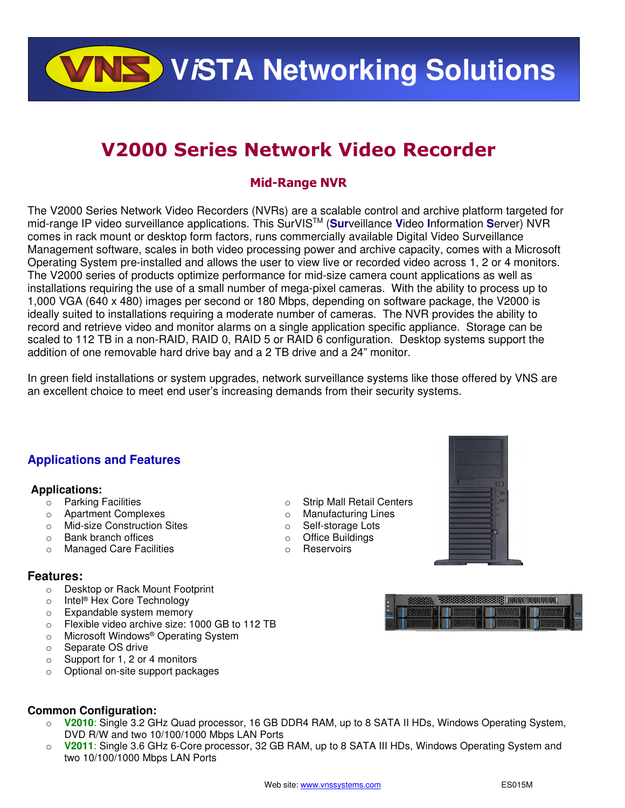**VALS** VISTA Networking Solutions

# **V2000 Series Network Video Recorder**

## **Mid-Range NVR**

The V2000 Series Network Video Recorders (NVRs) are a scalable control and archive platform targeted for mid-range IP video surveillance applications. This SurVISTM (**Sur**veillance **V**ideo **I**nformation **S**erver) NVR comes in rack mount or desktop form factors, runs commercially available Digital Video Surveillance Management software, scales in both video processing power and archive capacity, comes with a Microsoft Operating System pre-installed and allows the user to view live or recorded video across 1, 2 or 4 monitors. The V2000 series of products optimize performance for mid-size camera count applications as well as installations requiring the use of a small number of mega-pixel cameras. With the ability to process up to 1,000 VGA (640 x 480) images per second or 180 Mbps, depending on software package, the V2000 is ideally suited to installations requiring a moderate number of cameras. The NVR provides the ability to record and retrieve video and monitor alarms on a single application specific appliance. Storage can be scaled to 112 TB in a non-RAID, RAID 0, RAID 5 or RAID 6 configuration. Desktop systems support the addition of one removable hard drive bay and a 2 TB drive and a 24" monitor.

In green field installations or system upgrades, network surveillance systems like those offered by VNS are an excellent choice to meet end user's increasing demands from their security systems.

> o Strip Mall Retail Centers o Manufacturing Lines o Self-storage Lots o Office Buildings o Reservoirs

### **Applications and Features**

### **Applications:**

- o Parking Facilities
- o Apartment Complexes
- o Mid-size Construction Sites
- o Bank branch offices
- o Managed Care Facilities

### **Features:**

- o Desktop or Rack Mount Footprint
- o Intel® Hex Core Technology
- o Expandable system memory
- o Flexible video archive size: 1000 GB to 112 TB
- o Microsoft Windows® Operating System
- o Separate OS drive
- o Support for 1, 2 or 4 monitors
- o Optional on-site support packages



- o **V2010**: Single 3.2 GHz Quad processor, 16 GB DDR4 RAM, up to 8 SATA II HDs, Windows Operating System, DVD R/W and two 10/100/1000 Mbps LAN Ports
- o **V2011**: Single 3.6 GHz 6-Core processor, 32 GB RAM, up to 8 SATA III HDs, Windows Operating System and two 10/100/1000 Mbps LAN Ports



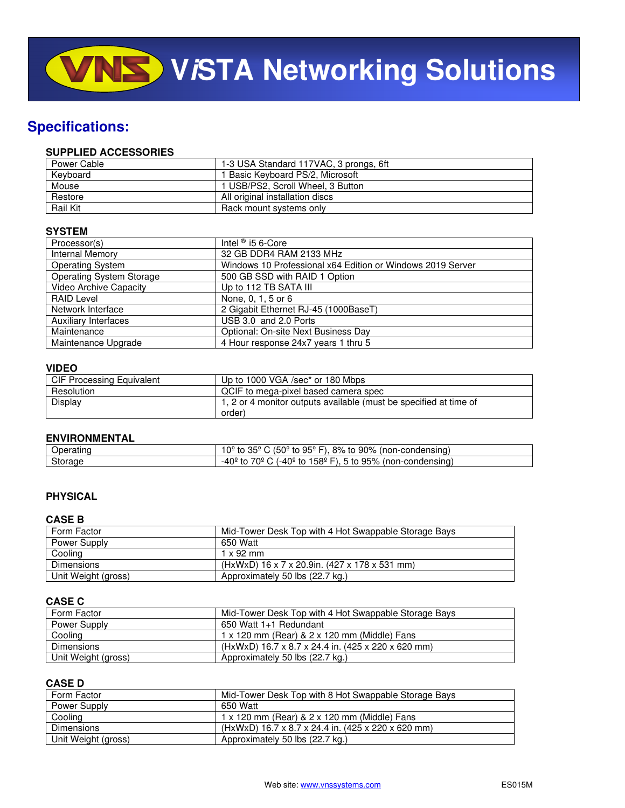# **Specifications:**

### **SUPPLIED ACCESSORIES**

| Power Cable | 1-3 USA Standard 117VAC, 3 prongs, 6ft |
|-------------|----------------------------------------|
| Keyboard    | 1 Basic Keyboard PS/2, Microsoft       |
| Mouse       | 1 USB/PS2, Scroll Wheel, 3 Button      |
| Restore     | All original installation discs        |
| Rail Kit    | Rack mount systems only                |

### **SYSTEM**

| Processor(s)                    | Intel $\textcircled{\tiny{B}}$ i5 6-Core                   |
|---------------------------------|------------------------------------------------------------|
| Internal Memory                 | 32 GB DDR4 RAM 2133 MHz                                    |
| <b>Operating System</b>         | Windows 10 Professional x64 Edition or Windows 2019 Server |
| <b>Operating System Storage</b> | 500 GB SSD with RAID 1 Option                              |
| <b>Video Archive Capacity</b>   | Up to 112 TB SATA III                                      |
| <b>RAID Level</b>               | None, 0, 1, 5 or 6                                         |
| Network Interface               | 2 Gigabit Ethernet RJ-45 (1000BaseT)                       |
| <b>Auxiliary Interfaces</b>     | USB 3.0 and 2.0 Ports                                      |
| Maintenance                     | Optional: On-site Next Business Day                        |
| Maintenance Upgrade             | 4 Hour response 24x7 years 1 thru 5                        |

### **VIDEO**

| CIF Processing Equivalent | Up to 1000 VGA /sec* or 180 Mbps                                  |
|---------------------------|-------------------------------------------------------------------|
| Resolution                | QCIF to mega-pixel based camera spec                              |
| Display                   | 1, 2 or 4 monitor outputs available (must be specified at time of |
|                           | order)                                                            |

### **ENVIRONMENTAL**

| ________________________ |                                                                                                                       |
|--------------------------|-----------------------------------------------------------------------------------------------------------------------|
| )ners<br>чашк            | $95^\circ$<br>$(50^{\circ}$ to .<br>90%<br>325<br>$R\%$<br>-condensing)<br>(non-c<br>_t∩<br>- ∪″،<br>$-1$<br>т∩<br>ັບ |
| Storage                  | 158º<br>70º<br>(-40º<br>95%<br>(non-condensing)<br>. t∩<br>to<br>to<br>$\mathbf{r}$<br>-4⊾                            |

### **PHYSICAL**

### **CASE B**

| Form Factor         | Mid-Tower Desk Top with 4 Hot Swappable Storage Bays |
|---------------------|------------------------------------------------------|
| Power Supply        | 650 Watt                                             |
| Cooling             | $1 \times 92$ mm                                     |
| Dimensions          | (HxWxD) 16 x 7 x 20.9in. (427 x 178 x 531 mm)        |
| Unit Weight (gross) | Approximately 50 lbs (22.7 kg.)                      |

### **CASE C**

| Form Factor         | Mid-Tower Desk Top with 4 Hot Swappable Storage Bays |
|---------------------|------------------------------------------------------|
| Power Supply        | 650 Watt 1+1 Redundant                               |
| Cooling             | 1 x 120 mm (Rear) & 2 x 120 mm (Middle) Fans         |
| <b>Dimensions</b>   | (HxWxD) 16.7 x 8.7 x 24.4 in. (425 x 220 x 620 mm)   |
| Unit Weight (gross) | Approximately 50 lbs (22.7 kg.)                      |

### **CASE D**

| Form Factor         | Mid-Tower Desk Top with 8 Hot Swappable Storage Bays |
|---------------------|------------------------------------------------------|
| Power Supply        | 650 Watt                                             |
| Cooling             | 1 x 120 mm (Rear) & 2 x 120 mm (Middle) Fans         |
| <b>Dimensions</b>   | (HxWxD) 16.7 x 8.7 x 24.4 in. (425 x 220 x 620 mm)   |
| Unit Weight (gross) | Approximately 50 lbs (22.7 kg.)                      |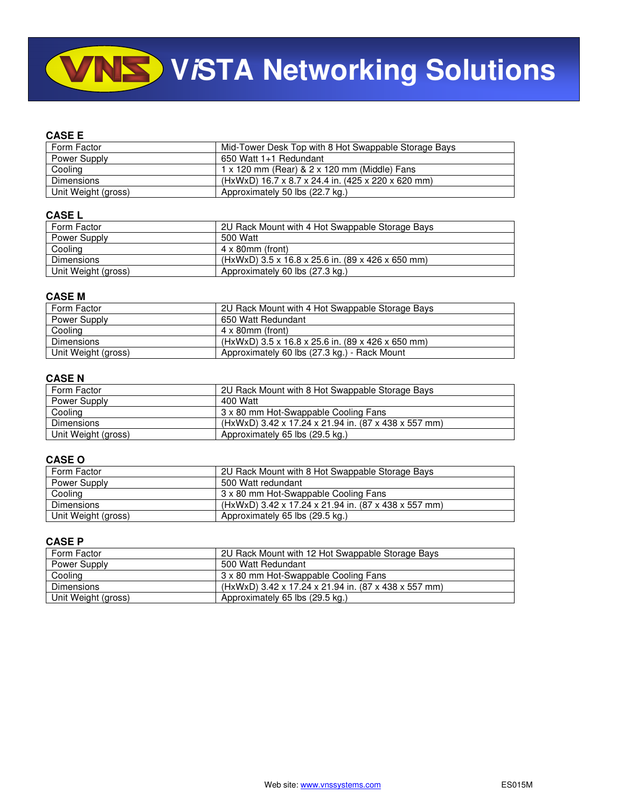# **VINS** VISTA Networking Solutions

### **CASE E**

| Form Factor         | Mid-Tower Desk Top with 8 Hot Swappable Storage Bays |
|---------------------|------------------------------------------------------|
| Power Supply        | 650 Watt 1+1 Redundant                               |
| Cooling             | 1 x 120 mm (Rear) & 2 x 120 mm (Middle) Fans         |
| Dimensions          | (HxWxD) 16.7 x 8.7 x 24.4 in. (425 x 220 x 620 mm)   |
| Unit Weight (gross) | Approximately 50 lbs (22.7 kg.)                      |

### **CASE L**

| Form Factor         | 2U Rack Mount with 4 Hot Swappable Storage Bays   |
|---------------------|---------------------------------------------------|
| Power Supply        | 500 Watt                                          |
| Cooling             | $4 \times 80$ mm (front)                          |
| Dimensions          | (HxWxD) 3.5 x 16.8 x 25.6 in. (89 x 426 x 650 mm) |
| Unit Weight (gross) | Approximately 60 lbs (27.3 kg.)                   |

#### **CASE M**

| Form Factor         | 2U Rack Mount with 4 Hot Swappable Storage Bays   |
|---------------------|---------------------------------------------------|
| Power Supply        | 650 Watt Redundant                                |
| Cooling             | $4 \times 80$ mm (front)                          |
| <b>Dimensions</b>   | (HxWxD) 3.5 x 16.8 x 25.6 in. (89 x 426 x 650 mm) |
| Unit Weight (gross) | Approximately 60 lbs (27.3 kg.) - Rack Mount      |

### **CASE N**

| Form Factor         | 2U Rack Mount with 8 Hot Swappable Storage Bays      |
|---------------------|------------------------------------------------------|
| Power Supply        | 400 Watt                                             |
| Cooling             | 3 x 80 mm Hot-Swappable Cooling Fans                 |
| Dimensions          | (HxWxD) 3.42 x 17.24 x 21.94 in. (87 x 438 x 557 mm) |
| Unit Weight (gross) | Approximately 65 lbs (29.5 kg.)                      |

### **CASE O**

| Form Factor         | 2U Rack Mount with 8 Hot Swappable Storage Bays      |
|---------------------|------------------------------------------------------|
| Power Supply        | 500 Watt redundant                                   |
| Cooling             | 3 x 80 mm Hot-Swappable Cooling Fans                 |
| <b>Dimensions</b>   | (HxWxD) 3.42 x 17.24 x 21.94 in. (87 x 438 x 557 mm) |
| Unit Weight (gross) | Approximately 65 lbs (29.5 kg.)                      |

### **CASE P**

| Form Factor         | 2U Rack Mount with 12 Hot Swappable Storage Bays     |
|---------------------|------------------------------------------------------|
| Power Supply        | 500 Watt Redundant                                   |
| Cooling             | 3 x 80 mm Hot-Swappable Cooling Fans                 |
| <b>Dimensions</b>   | (HxWxD) 3.42 x 17.24 x 21.94 in. (87 x 438 x 557 mm) |
| Unit Weight (gross) | Approximately 65 lbs (29.5 kg.)                      |